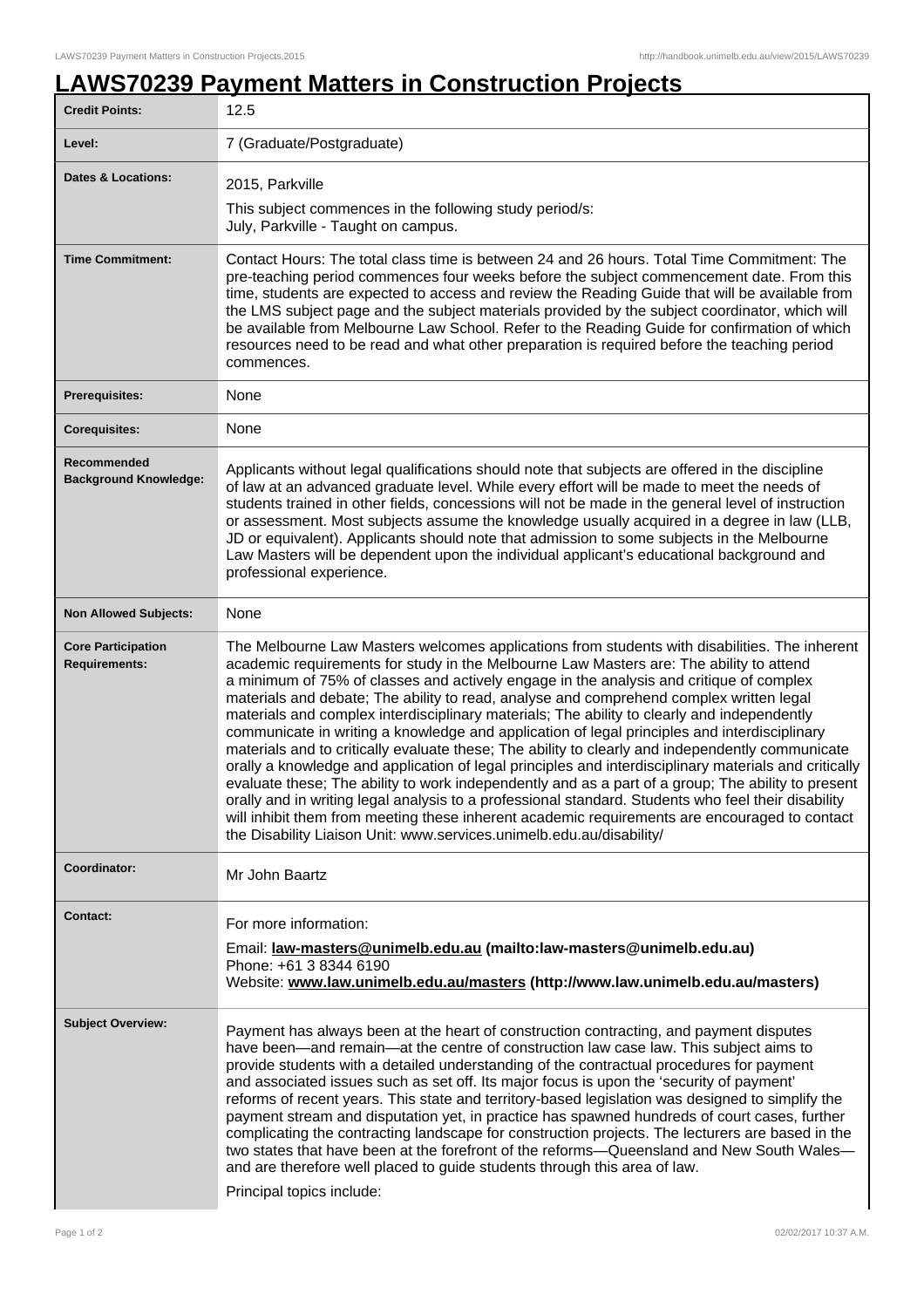## **LAWS70239 Payment Matters in Construction Projects**

| <b>Credit Points:</b>                             | 12.5                                                                                                                                                                                                                                                                                                                                                                                                                                                                                                                                                                                                                                                                                                                                                                                                                                                                                                                                                                                                                                                                                                                                                                             |
|---------------------------------------------------|----------------------------------------------------------------------------------------------------------------------------------------------------------------------------------------------------------------------------------------------------------------------------------------------------------------------------------------------------------------------------------------------------------------------------------------------------------------------------------------------------------------------------------------------------------------------------------------------------------------------------------------------------------------------------------------------------------------------------------------------------------------------------------------------------------------------------------------------------------------------------------------------------------------------------------------------------------------------------------------------------------------------------------------------------------------------------------------------------------------------------------------------------------------------------------|
| Level:                                            | 7 (Graduate/Postgraduate)                                                                                                                                                                                                                                                                                                                                                                                                                                                                                                                                                                                                                                                                                                                                                                                                                                                                                                                                                                                                                                                                                                                                                        |
| <b>Dates &amp; Locations:</b>                     | 2015, Parkville                                                                                                                                                                                                                                                                                                                                                                                                                                                                                                                                                                                                                                                                                                                                                                                                                                                                                                                                                                                                                                                                                                                                                                  |
|                                                   | This subject commences in the following study period/s:<br>July, Parkville - Taught on campus.                                                                                                                                                                                                                                                                                                                                                                                                                                                                                                                                                                                                                                                                                                                                                                                                                                                                                                                                                                                                                                                                                   |
| <b>Time Commitment:</b>                           | Contact Hours: The total class time is between 24 and 26 hours. Total Time Commitment: The<br>pre-teaching period commences four weeks before the subject commencement date. From this<br>time, students are expected to access and review the Reading Guide that will be available from<br>the LMS subject page and the subject materials provided by the subject coordinator, which will<br>be available from Melbourne Law School. Refer to the Reading Guide for confirmation of which<br>resources need to be read and what other preparation is required before the teaching period<br>commences.                                                                                                                                                                                                                                                                                                                                                                                                                                                                                                                                                                          |
| <b>Prerequisites:</b>                             | None                                                                                                                                                                                                                                                                                                                                                                                                                                                                                                                                                                                                                                                                                                                                                                                                                                                                                                                                                                                                                                                                                                                                                                             |
| <b>Corequisites:</b>                              | None                                                                                                                                                                                                                                                                                                                                                                                                                                                                                                                                                                                                                                                                                                                                                                                                                                                                                                                                                                                                                                                                                                                                                                             |
| Recommended<br><b>Background Knowledge:</b>       | Applicants without legal qualifications should note that subjects are offered in the discipline<br>of law at an advanced graduate level. While every effort will be made to meet the needs of<br>students trained in other fields, concessions will not be made in the general level of instruction<br>or assessment. Most subjects assume the knowledge usually acquired in a degree in law (LLB,<br>JD or equivalent). Applicants should note that admission to some subjects in the Melbourne<br>Law Masters will be dependent upon the individual applicant's educational background and<br>professional experience.                                                                                                                                                                                                                                                                                                                                                                                                                                                                                                                                                         |
| <b>Non Allowed Subjects:</b>                      | None                                                                                                                                                                                                                                                                                                                                                                                                                                                                                                                                                                                                                                                                                                                                                                                                                                                                                                                                                                                                                                                                                                                                                                             |
| <b>Core Participation</b><br><b>Requirements:</b> | The Melbourne Law Masters welcomes applications from students with disabilities. The inherent<br>academic requirements for study in the Melbourne Law Masters are: The ability to attend<br>a minimum of 75% of classes and actively engage in the analysis and critique of complex<br>materials and debate; The ability to read, analyse and comprehend complex written legal<br>materials and complex interdisciplinary materials; The ability to clearly and independently<br>communicate in writing a knowledge and application of legal principles and interdisciplinary<br>materials and to critically evaluate these; The ability to clearly and independently communicate<br>orally a knowledge and application of legal principles and interdisciplinary materials and critically<br>evaluate these; The ability to work independently and as a part of a group; The ability to present<br>orally and in writing legal analysis to a professional standard. Students who feel their disability<br>will inhibit them from meeting these inherent academic requirements are encouraged to contact<br>the Disability Liaison Unit: www.services.unimelb.edu.au/disability/ |
| Coordinator:                                      | Mr John Baartz                                                                                                                                                                                                                                                                                                                                                                                                                                                                                                                                                                                                                                                                                                                                                                                                                                                                                                                                                                                                                                                                                                                                                                   |
| <b>Contact:</b>                                   | For more information:<br>Email: law-masters@unimelb.edu.au (mailto:law-masters@unimelb.edu.au)<br>Phone: +61 3 8344 6190<br>Website: www.law.unimelb.edu.au/masters (http://www.law.unimelb.edu.au/masters)                                                                                                                                                                                                                                                                                                                                                                                                                                                                                                                                                                                                                                                                                                                                                                                                                                                                                                                                                                      |
| <b>Subject Overview:</b>                          | Payment has always been at the heart of construction contracting, and payment disputes<br>have been—and remain—at the centre of construction law case law. This subject aims to<br>provide students with a detailed understanding of the contractual procedures for payment<br>and associated issues such as set off. Its major focus is upon the 'security of payment'<br>reforms of recent years. This state and territory-based legislation was designed to simplify the<br>payment stream and disputation yet, in practice has spawned hundreds of court cases, further<br>complicating the contracting landscape for construction projects. The lecturers are based in the<br>two states that have been at the forefront of the reforms—Queensland and New South Wales—<br>and are therefore well placed to guide students through this area of law.<br>Principal topics include:                                                                                                                                                                                                                                                                                           |